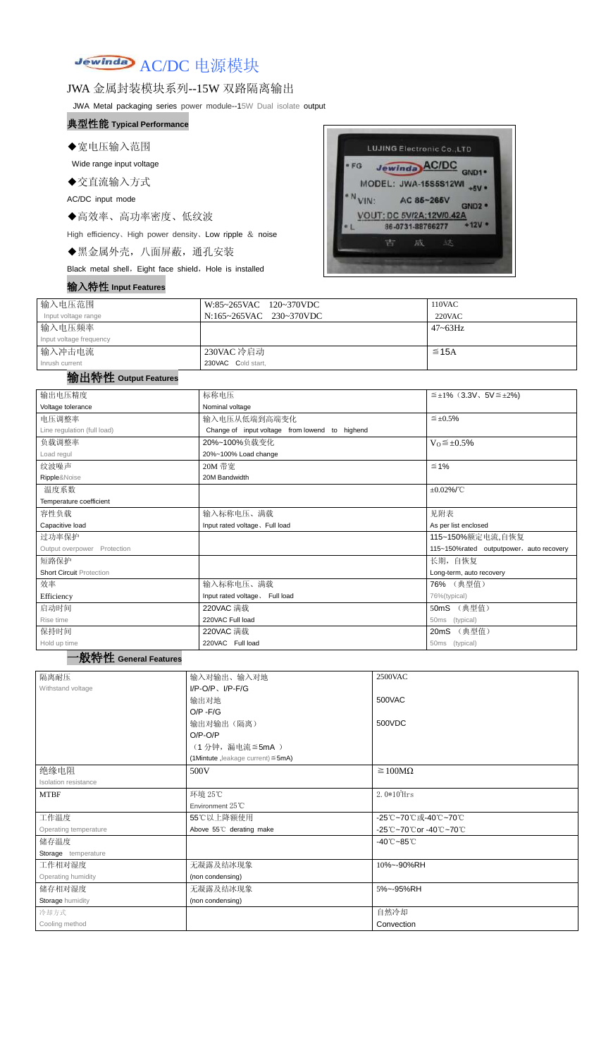

### JWA 金属封装模块系列--15W 双路隔离输出

JWA Metal packaging series power module--15W Dual isolate output

#### 典型性能 **Typical Performance**

◆宽电压输入范围

Wide range input voltage

◆交直流输入方式

AC/DC input mode

◆高效率、高功率密度、低纹波

High efficiency、High power density、Low ripple & noise

◆黑金属外壳,八面屏蔽,通孔安装

Black metal shell, Eight face shield, Hole is installed

#### 输入特性 **Input Features**



| 输入电压范围                  | W:85~265VAC 120~370VDC  | 110VAC       |
|-------------------------|-------------------------|--------------|
| Input voltage range     | N:165~265VAC 230~370VDC | $220$ VAC    |
| 输入电压频率                  |                         | $47 - 63$ Hz |
| Input voltage frequency |                         |              |
| 输入冲击电流                  | 230VAC 冷启动              | $\leq$ 15A   |
| Inrush current          | 230VAC Cold start,      |              |

## 输出特性 **Output Features**

一般特性 **General Features**

| 输出电压精度                          | 标称电压                                              | $\leq \pm 1\%$ (3.3V, 5V $\leq \pm 2\%$ ) |  |  |
|---------------------------------|---------------------------------------------------|-------------------------------------------|--|--|
| Voltage tolerance               | Nominal voltage                                   |                                           |  |  |
| 电压调整率                           | 输入电压从低端到高端变化                                      | $\leq \pm 0.5\%$                          |  |  |
| Line regulation (full load)     | to highend<br>Change of input voltage from lowend |                                           |  |  |
| 负载调整率                           | 20%~100%负载变化                                      | $V_0 \leq \pm 0.5\%$                      |  |  |
| Load regul                      | 20%~100% Load change                              |                                           |  |  |
| 纹波噪声                            | 20M 带宽                                            | $\leq 1\%$                                |  |  |
| Ripple&Noise                    | 20M Bandwidth                                     |                                           |  |  |
| 温度系数                            |                                                   | $\pm 0.02\%$ /°C                          |  |  |
| Temperature coefficient         |                                                   |                                           |  |  |
| 容性负载                            | 输入标称电压、满载                                         | 见附表                                       |  |  |
| Capacitive load                 | Input rated voltage. Full load                    | As per list enclosed                      |  |  |
| 过功率保护                           |                                                   | 115~150%额定电流,自恢复                          |  |  |
| Output overpower Protection     |                                                   | 115~150%rated outputpower, auto recovery  |  |  |
| 短路保护                            |                                                   | 长期, 自恢复                                   |  |  |
| <b>Short Circuit Protection</b> |                                                   | Long-term, auto recovery                  |  |  |
| 效率                              | 输入标称电压、满载                                         | 76% (典型值)                                 |  |  |
| Efficiency                      | Input rated voltage. Full load                    | 76%(typical)                              |  |  |
| 启动时间                            | 220VAC 满载                                         | 50mS (典型值)                                |  |  |
| Rise time                       | 220VAC Full load                                  | (typical)<br>50ms                         |  |  |
| 保持时间                            | 220VAC 满载                                         | 20mS (典型值)                                |  |  |
| Hold up time                    | 220VAC Full load                                  | 50ms (typical)                            |  |  |

| 隔离耐压                        | 输入对输出、输入对地                              | 2500VAC                         |
|-----------------------------|-----------------------------------------|---------------------------------|
| Withstand voltage           | $I/P-O/P$ , $I/P-F/G$                   |                                 |
|                             | 输出对地                                    | 500VAC                          |
|                             | $O/P - F/G$                             |                                 |
|                             | 输出对输出(隔离)                               | 500VDC                          |
|                             | $O/P-O/P$                               |                                 |
|                             | (1分钟,漏电流≦5mA)                           |                                 |
|                             | (1Mintute, leakage current) $\leq$ 5mA) |                                 |
| 绝缘电阻                        | 500V                                    | $\geq 100M\Omega$               |
| <b>Isolation resistance</b> |                                         |                                 |
| <b>MTBF</b>                 | 环境 25℃                                  | $2.0*10^5$ Hrs                  |
|                             | Environment $25^{\circ}$ C              |                                 |
| 工作温度                        | 55℃以上降额使用                               | -25℃~70℃或-40℃~70℃               |
| Operating temperature       | Above 55°C derating make                | -25℃~70℃or-40℃~70℃              |
| 储存温度                        |                                         | $-40^{\circ}$ C $-85^{\circ}$ C |
| Storage temperature         |                                         |                                 |
| 工作相对湿度                      | 无凝露及结冰现象                                | 10%~-90%RH                      |
| Operating humidity          | (non condensing)                        |                                 |
| 储存相对湿度                      | 无凝露及结冰现象                                | 5%~-95%RH                       |
| Storage humidity            | (non condensing)                        |                                 |
| 冷却方式                        |                                         | 自然冷却                            |
| Cooling method              |                                         | Convection                      |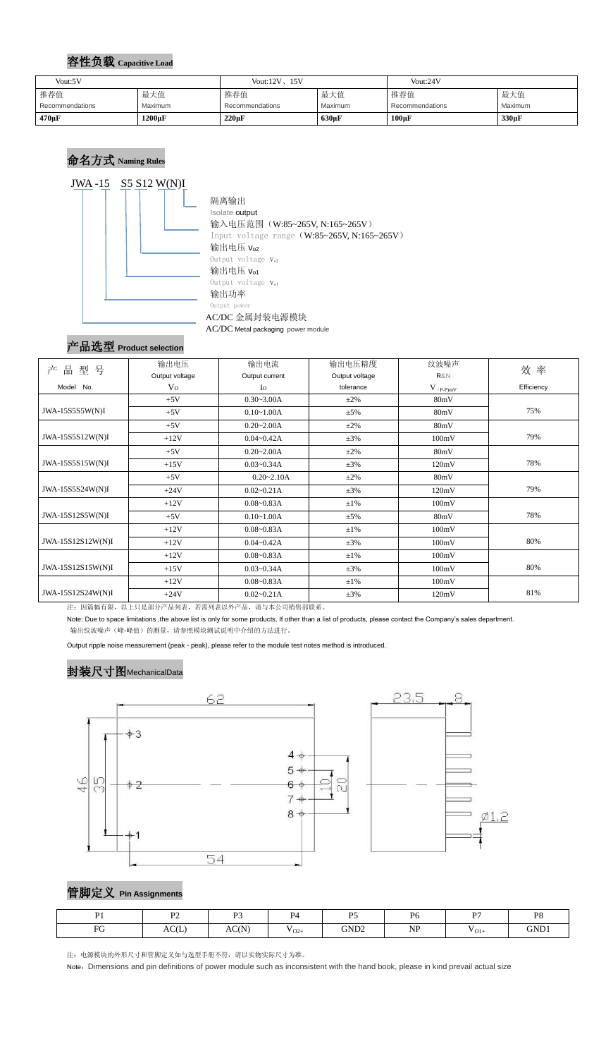#### 容性负载 **Capacitive Load**

# 命名方式 **Naming Rules**



AC/DC Metal packaging power module

# 产品选型 **Product selection**

| 型号<br>产<br>品      | 输出电压           | 输出电流                       | 输出电压精度         | 纹波噪声        | 效率         |  |
|-------------------|----------------|----------------------------|----------------|-------------|------------|--|
|                   | Output voltage | Output current             | Output voltage | R&N         |            |  |
| Model No.         | V <sub>O</sub> | $I_{\rm O}$                | tolerance      | $V$ (p-p)mV | Efficiency |  |
|                   | $+5V$          | $0.30 - 3.00A$             | $\pm 2\%$      | 80mV        |            |  |
| JWA-15S5S5W(N)I   | $+5V$          | $0.10 - 1.00A$<br>$\pm$ 5% |                | 80mV        | 75%        |  |
|                   | $+5V$          | $0.20 - 2.00A$             | $\pm 2\%$      | 80mV        |            |  |
| JWA-15S5S12W(N)I  | $+12V$         | $0.04 - 0.42A$             | $\pm 3\%$      | 100mV       | 79%        |  |
|                   | $+5V$          | $0.20 - 2.00A$             | $\pm 2\%$      | 80mV        |            |  |
| JWA-15S5S15W(N)I  | $+15V$         | $0.03 - 0.34A$             | $\pm 3\%$      | 120mV       | 78%        |  |
|                   | $+5V$          | $0.20 - 2.10A$             | $\pm 2\%$      | 80mV        |            |  |
| JWA-15S5S24W(N)I  | $+24V$         | $0.02 - 0.21A$             | $\pm 3\%$      | 120mV       | 79%        |  |
|                   | $+12V$         | $0.08 - 0.83A$             | $\pm 1\%$      | 100mV       |            |  |
| JWA-15S12S5W(N)I  | $+5V$          | $0.10 - 1.00A$             | $\pm$ 5%       | 80mV        | 78%        |  |
|                   | $+12V$         | $0.08 - 0.83A$             | $\pm 1\%$      | 100mV       |            |  |
| JWA-15S12S12W(N)I | $+12V$         | $0.04 - 0.42A$             | $\pm 3\%$      | 100mV       | 80%        |  |
|                   | $+12V$         | $0.08 - 0.83A$             | $\pm 1\%$      | 100mV       |            |  |
| JWA-15S12S15W(N)I | $+15V$         | $0.03 - 0.34A$             | $\pm 3\%$      | 100mV       | 80%        |  |
|                   | $+12V$         | $0.08 - 0.83A$             | $\pm 1\%$      | 100mV       |            |  |
| JWA-15S12S24W(N)I | $+24V$         | $0.02 - 0.21A$             | $\pm 3\%$      | 120mV       | 81%        |  |

注:因篇幅有限,以上只是部分产品列表,若需列表以外产品,请与本公司销售部联系。

Note: Due to space limitations ,the above list is only for some products, If other than a list of products, please contact the Company's sales department. 输出纹波噪声(峰-峰值)的测量,请参照模块测试说明中介绍的方法进行。

Output ripple noise measurement (peak - peak), please refer to the module test notes method is introduced.

# 封装尺寸图MechanicalData



管脚定义 **Pin Assignments**

注:电源模块的外形尺寸和管脚定义如与选型手册不符,请以实物实际尺寸为准。

Note: Dimensions and pin definitions of power module such as inconsistent with the hand book, please in kind prevail actual size

| Vout:5V                |         | Vout: $12V$ , $15V$ |                | Vout:24V        |         |
|------------------------|---------|---------------------|----------------|-----------------|---------|
| 推荐值                    | 最大值     | 推荐值                 | 最大值            | 推荐值             | 最大值     |
| <b>Recommendations</b> | Maximum | Recommendations     | <b>Maximum</b> | Recommendations | Maximum |
| 470µF                  | 1200µF  | $220 \mu F$         | $630 \mu F$    | $100\mu F$      | 330µF   |

| $\mathbf{D}$ <sup>1</sup>             | $\mathbf{D}$ | $\mathbf{D}$ | $\mathbf{p}_A$    | $\sim$ $\sim$    | D <sub>6</sub> | $n\pi$                    | <b>D</b> <sup>Q</sup><br>$\sim$ 0 |
|---------------------------------------|--------------|--------------|-------------------|------------------|----------------|---------------------------|-----------------------------------|
| EG<br>$\mathbf{L}^{\prime}\mathbf{O}$ | AC(L)        | AC(N)        | $ -$<br>$V_{O2+}$ | GND <sub>2</sub> | <b>NP</b>      | $\mathbf{r}$<br>$V_{O1+}$ | GND1                              |